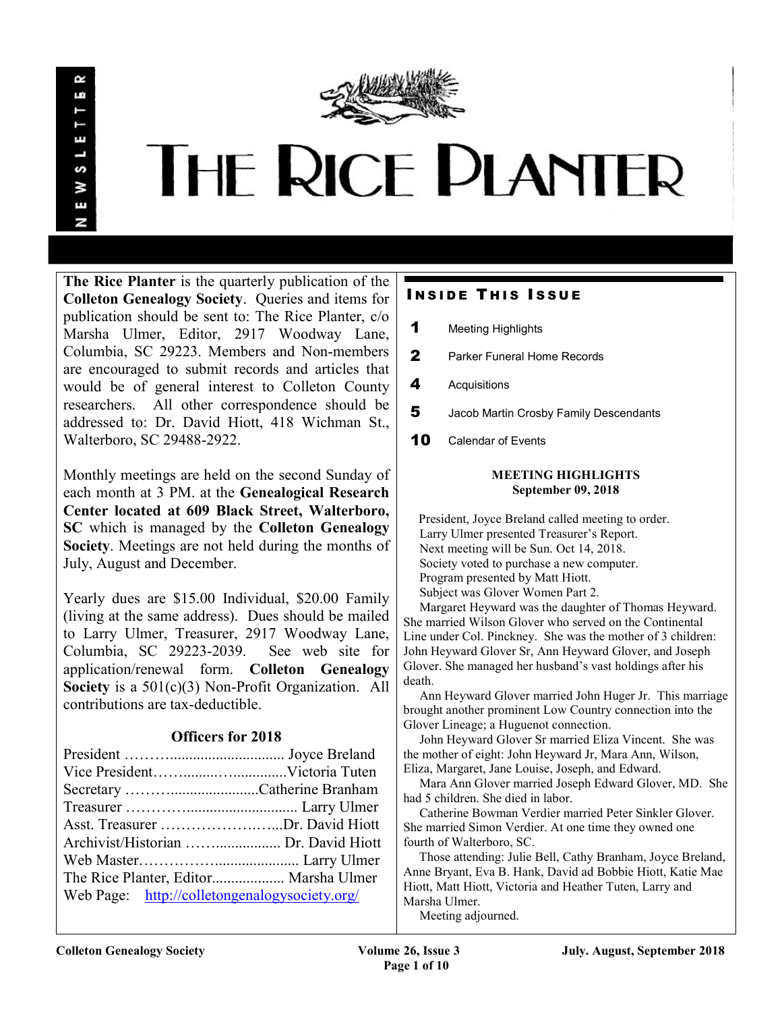

# **THE RICE PLANTER**

The Rice Planter is the quarterly publication of the Colleton Genealogy Society. Queries and items for publication should be sent to: The Rice Planter, c/o Marsha Ulmer, Editor, 2917 Woodway Lane, Columbia, SC 29223. Members and Non-members are encouraged to submit records and articles that would be of general interest to Colleton County researchers. All other correspondence should be addressed to: Dr. David Hiott, 418 Wichman St., Walterboro, SC 29488-2922.

Monthly meetings are held on the second Sunday of each month at 3 PM. at the Genealogical Research Center located at 609 Black Street, Walterboro, SC which is managed by the Colleton Genealogy Society. Meetings are not held during the months of July, August and December.

Yearly dues are \$15.00 Individual, \$20.00 Family (living at the same address). Dues should be mailed to Larry Ulmer, Treasurer, 2917 Woodway Lane, Columbia, SC 29223-2039. See web site for application/renewal form. Colleton Genealogy Society is a  $501(c)(3)$  Non-Profit Organization. All contributions are tax-deductible.

# Officers for 2018

| Asst. Treasurer Dr. David Hiott               |  |  |
|-----------------------------------------------|--|--|
|                                               |  |  |
|                                               |  |  |
| The Rice Planter, Editor Marsha Ulmer         |  |  |
| Web Page: http://colletongenalogysociety.org/ |  |  |

# **INSIDE THIS ISSUE**

- 1 Meeting Highlights
- 2 Parker Funeral Home Records
- 4 Acquisitions
- 5 Jacob Martin Crosby Family Descendants
- 10 Calendar of Events

### MEETING HIGHLIGHTS September 09, 2018

 President, Joyce Breland called meeting to order. Larry Ulmer presented Treasurer's Report. Next meeting will be Sun. Oct 14, 2018. Society voted to purchase a new computer. Program presented by Matt Hiott. Subject was Glover Women Part 2.

 Margaret Heyward was the daughter of Thomas Heyward. She married Wilson Glover who served on the Continental Line under Col. Pinckney. She was the mother of 3 children: John Heyward Glover Sr, Ann Heyward Glover, and Joseph Glover. She managed her husband's vast holdings after his death.

 Ann Heyward Glover married John Huger Jr. This marriage brought another prominent Low Country connection into the Glover Lineage; a Huguenot connection.

 John Heyward Glover Sr married Eliza Vincent. She was the mother of eight: John Heyward Jr, Mara Ann, Wilson, Eliza, Margaret, Jane Louise, Joseph, and Edward.

 Mara Ann Glover married Joseph Edward Glover, MD. She had 5 children. She died in labor.

 Catherine Bowman Verdier married Peter Sinkler Glover. She married Simon Verdier. At one time they owned one fourth of Walterboro, SC.

 Those attending: Julie Bell, Cathy Branham, Joyce Breland, Anne Bryant, Eva B. Hank, David ad Bobbie Hiott, Katie Mae Hiott, Matt Hiott, Victoria and Heather Tuten, Larry and Marsha Ulmer.

Meeting adjourned.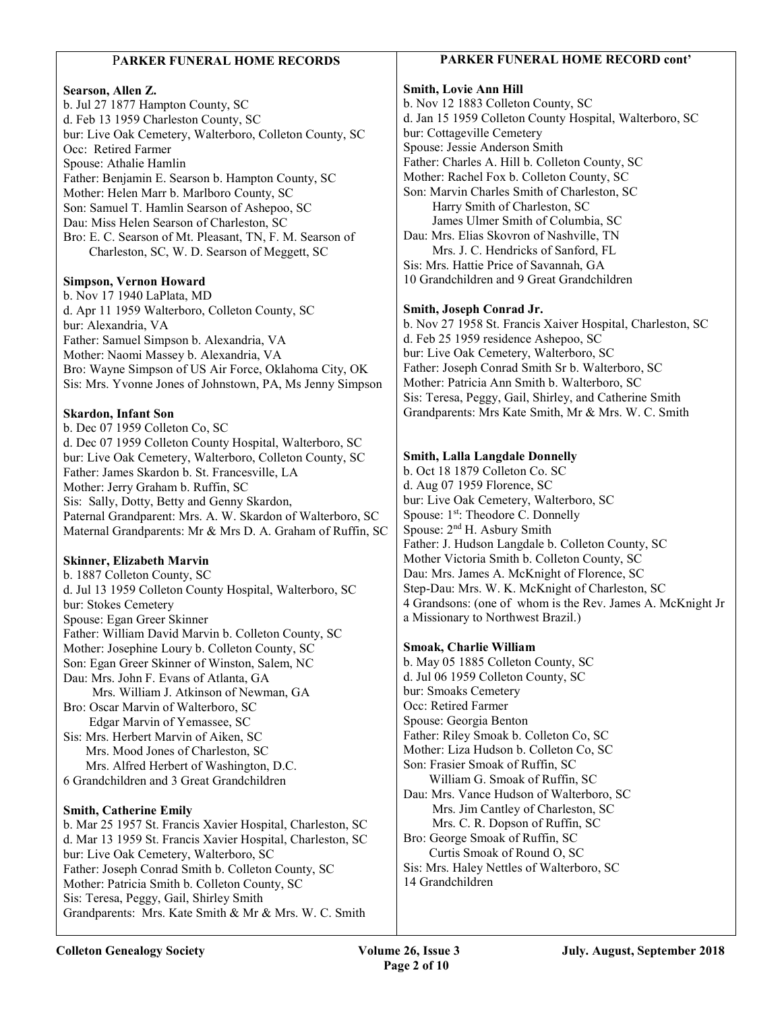### PARKER FUNERAL HOME RECORDS

### Searson, Allen Z.

b. Jul 27 1877 Hampton County, SC d. Feb 13 1959 Charleston County, SC bur: Live Oak Cemetery, Walterboro, Colleton County, SC Occ: Retired Farmer Spouse: Athalie Hamlin Father: Benjamin E. Searson b. Hampton County, SC Mother: Helen Marr b. Marlboro County, SC Son: Samuel T. Hamlin Searson of Ashepoo, SC Dau: Miss Helen Searson of Charleston, SC Bro: E. C. Searson of Mt. Pleasant, TN, F. M. Searson of Charleston, SC, W. D. Searson of Meggett, SC

### Simpson, Vernon Howard

b. Nov 17 1940 LaPlata, MD d. Apr 11 1959 Walterboro, Colleton County, SC bur: Alexandria, VA Father: Samuel Simpson b. Alexandria, VA Mother: Naomi Massey b. Alexandria, VA Bro: Wayne Simpson of US Air Force, Oklahoma City, OK Sis: Mrs. Yvonne Jones of Johnstown, PA, Ms Jenny Simpson

### Skardon, Infant Son

b. Dec 07 1959 Colleton Co, SC d. Dec 07 1959 Colleton County Hospital, Walterboro, SC bur: Live Oak Cemetery, Walterboro, Colleton County, SC Father: James Skardon b. St. Francesville, LA Mother: Jerry Graham b. Ruffin, SC Sis: Sally, Dotty, Betty and Genny Skardon, Paternal Grandparent: Mrs. A. W. Skardon of Walterboro, SC Maternal Grandparents: Mr & Mrs D. A. Graham of Ruffin, SC

### Skinner, Elizabeth Marvin

b. 1887 Colleton County, SC d. Jul 13 1959 Colleton County Hospital, Walterboro, SC bur: Stokes Cemetery Spouse: Egan Greer Skinner Father: William David Marvin b. Colleton County, SC Mother: Josephine Loury b. Colleton County, SC Son: Egan Greer Skinner of Winston, Salem, NC Dau: Mrs. John F. Evans of Atlanta, GA Mrs. William J. Atkinson of Newman, GA Bro: Oscar Marvin of Walterboro, SC Edgar Marvin of Yemassee, SC Sis: Mrs. Herbert Marvin of Aiken, SC Mrs. Mood Jones of Charleston, SC Mrs. Alfred Herbert of Washington, D.C.

6 Grandchildren and 3 Great Grandchildren

### Smith, Catherine Emily

b. Mar 25 1957 St. Francis Xavier Hospital, Charleston, SC d. Mar 13 1959 St. Francis Xavier Hospital, Charleston, SC bur: Live Oak Cemetery, Walterboro, SC Father: Joseph Conrad Smith b. Colleton County, SC Mother: Patricia Smith b. Colleton County, SC Sis: Teresa, Peggy, Gail, Shirley Smith Grandparents: Mrs. Kate Smith & Mr & Mrs. W. C. Smith

### PARKER FUNERAL HOME RECORD cont'

### Smith, Lovie Ann Hill

b. Nov 12 1883 Colleton County, SC d. Jan 15 1959 Colleton County Hospital, Walterboro, SC bur: Cottageville Cemetery Spouse: Jessie Anderson Smith Father: Charles A. Hill b. Colleton County, SC Mother: Rachel Fox b. Colleton County, SC Son: Marvin Charles Smith of Charleston, SC Harry Smith of Charleston, SC James Ulmer Smith of Columbia, SC Dau: Mrs. Elias Skovron of Nashville, TN Mrs. J. C. Hendricks of Sanford, FL Sis: Mrs. Hattie Price of Savannah, GA 10 Grandchildren and 9 Great Grandchildren

### Smith, Joseph Conrad Jr.

b. Nov 27 1958 St. Francis Xaiver Hospital, Charleston, SC d. Feb 25 1959 residence Ashepoo, SC bur: Live Oak Cemetery, Walterboro, SC Father: Joseph Conrad Smith Sr b. Walterboro, SC Mother: Patricia Ann Smith b. Walterboro, SC Sis: Teresa, Peggy, Gail, Shirley, and Catherine Smith Grandparents: Mrs Kate Smith, Mr & Mrs. W. C. Smith

### Smith, Lalla Langdale Donnelly

b. Oct 18 1879 Colleton Co. SC d. Aug 07 1959 Florence, SC bur: Live Oak Cemetery, Walterboro, SC Spouse: 1<sup>st</sup>: Theodore C. Donnelly Spouse: 2nd H. Asbury Smith Father: J. Hudson Langdale b. Colleton County, SC Mother Victoria Smith b. Colleton County, SC Dau: Mrs. James A. McKnight of Florence, SC Step-Dau: Mrs. W. K. McKnight of Charleston, SC 4 Grandsons: (one of whom is the Rev. James A. McKnight Jr a Missionary to Northwest Brazil.)

### Smoak, Charlie William

b. May 05 1885 Colleton County, SC d. Jul 06 1959 Colleton County, SC bur: Smoaks Cemetery Occ: Retired Farmer Spouse: Georgia Benton Father: Riley Smoak b. Colleton Co, SC Mother: Liza Hudson b. Colleton Co, SC Son: Frasier Smoak of Ruffin, SC William G. Smoak of Ruffin, SC Dau: Mrs. Vance Hudson of Walterboro, SC Mrs. Jim Cantley of Charleston, SC Mrs. C. R. Dopson of Ruffin, SC Bro: George Smoak of Ruffin, SC Curtis Smoak of Round O, SC Sis: Mrs. Haley Nettles of Walterboro, SC 14 Grandchildren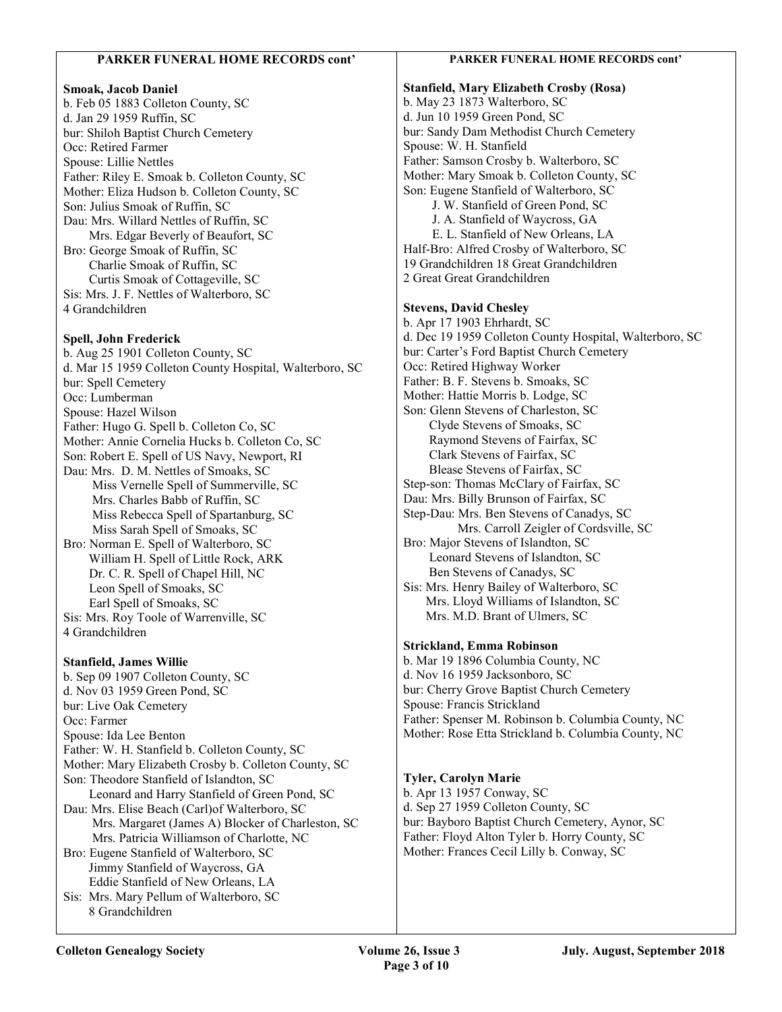### PARKER FUNERAL HOME RECORDS cont' Smoak, Jacob Daniel b. Feb 05 1883 Colleton County, SC d. Jan 29 1959 Ruffin, SC bur: Shiloh Baptist Church Cemetery Occ: Retired Farmer Spouse: Lillie Nettles Father: Riley E. Smoak b. Colleton County, SC Mother: Eliza Hudson b. Colleton County, SC Son: Julius Smoak of Ruffin, SC Dau: Mrs. Willard Nettles of Ruffin, SC Mrs. Edgar Beverly of Beaufort, SC Bro: George Smoak of Ruffin, SC Charlie Smoak of Ruffin, SC Curtis Smoak of Cottageville, SC Sis: Mrs. J. F. Nettles of Walterboro, SC 4 Grandchildren Spell, John Frederick b. Aug 25 1901 Colleton County, SC d. Mar 15 1959 Colleton County Hospital, Walterboro, SC bur: Spell Cemetery Occ: Lumberman Spouse: Hazel Wilson Father: Hugo G. Spell b. Colleton Co, SC Mother: Annie Cornelia Hucks b. Colleton Co, SC Son: Robert E. Spell of US Navy, Newport, RI Dau: Mrs. D. M. Nettles of Smoaks, SC Miss Vernelle Spell of Summerville, SC Mrs. Charles Babb of Ruffin, SC Miss Rebecca Spell of Spartanburg, SC Miss Sarah Spell of Smoaks, SC Bro: Norman E. Spell of Walterboro, SC William H. Spell of Little Rock, ARK Dr. C. R. Spell of Chapel Hill, NC Leon Spell of Smoaks, SC Earl Spell of Smoaks, SC Sis: Mrs. Roy Toole of Warrenville, SC 4 Grandchildren Stanfield, James Willie b. Sep 09 1907 Colleton County, SC d. Nov 03 1959 Green Pond, SC bur: Live Oak Cemetery Occ: Farmer Spouse: Ida Lee Benton Father: W. H. Stanfield b. Colleton County, SC Mother: Mary Elizabeth Crosby b. Colleton County, SC Son: Theodore Stanfield of Islandton, SC Leonard and Harry Stanfield of Green Pond, SC Dau: Mrs. Elise Beach (Carl)of Walterboro, SC Mrs. Margaret (James A) Blocker of Charleston, SC Mrs. Patricia Williamson of Charlotte, NC Bro: Eugene Stanfield of Walterboro, SC Jimmy Stanfield of Waycross, GA Eddie Stanfield of New Orleans, LA Sis: Mrs. Mary Pellum of Walterboro, SC 8 Grandchildren PARKER FUNERAL HOME RECORDS cont' Stanfield, Mary Elizabeth Crosby (Rosa) b. May 23 1873 Walterboro, SC d. Jun 10 1959 Green Pond, SC bur: Sandy Dam Methodist Church Cemetery Spouse: W. H. Stanfield Father: Samson Crosby b. Walterboro, SC Mother: Mary Smoak b. Colleton County, SC Son: Eugene Stanfield of Walterboro, SC J. W. Stanfield of Green Pond, SC J. A. Stanfield of Waycross, GA E. L. Stanfield of New Orleans, LA Half-Bro: Alfred Crosby of Walterboro, SC 19 Grandchildren 18 Great Grandchildren 2 Great Great Grandchildren Stevens, David Chesley b. Apr 17 1903 Ehrhardt, SC d. Dec 19 1959 Colleton County Hospital, Walterboro, SC bur: Carter's Ford Baptist Church Cemetery Occ: Retired Highway Worker Father: B. F. Stevens b. Smoaks, SC Mother: Hattie Morris b. Lodge, SC Son: Glenn Stevens of Charleston, SC Clyde Stevens of Smoaks, SC Raymond Stevens of Fairfax, SC Clark Stevens of Fairfax, SC Blease Stevens of Fairfax, SC Step-son: Thomas McClary of Fairfax, SC Dau: Mrs. Billy Brunson of Fairfax, SC Step-Dau: Mrs. Ben Stevens of Canadys, SC Mrs. Carroll Zeigler of Cordsville, SC Bro: Major Stevens of Islandton, SC Leonard Stevens of Islandton, SC Ben Stevens of Canadys, SC Sis: Mrs. Henry Bailey of Walterboro, SC Mrs. Lloyd Williams of Islandton, SC Mrs. M.D. Brant of Ulmers, SC Strickland, Emma Robinson b. Mar 19 1896 Columbia County, NC d. Nov 16 1959 Jacksonboro, SC bur: Cherry Grove Baptist Church Cemetery Spouse: Francis Strickland Father: Spenser M. Robinson b. Columbia County, NC Mother: Rose Etta Strickland b. Columbia County, NC Tyler, Carolyn Marie b. Apr 13 1957 Conway, SC d. Sep 27 1959 Colleton County, SC bur: Bayboro Baptist Church Cemetery, Aynor, SC Father: Floyd Alton Tyler b. Horry County, SC Mother: Frances Cecil Lilly b. Conway, SC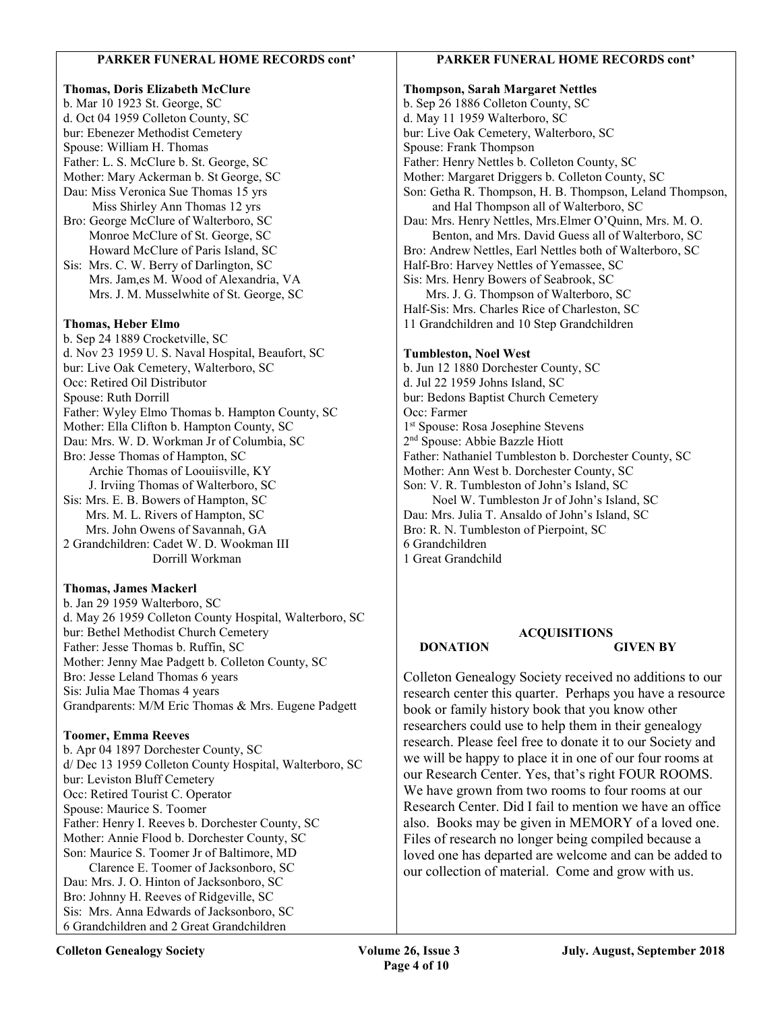### PARKER FUNERAL HOME RECORDS cont'

### Thomas, Doris Elizabeth McClure b. Mar 10 1923 St. George, SC d. Oct 04 1959 Colleton County, SC bur: Ebenezer Methodist Cemetery Spouse: William H. Thomas Father: L. S. McClure b. St. George, SC Mother: Mary Ackerman b. St George, SC Dau: Miss Veronica Sue Thomas 15 yrs Miss Shirley Ann Thomas 12 yrs Bro: George McClure of Walterboro, SC Monroe McClure of St. George, SC Howard McClure of Paris Island, SC Sis: Mrs. C. W. Berry of Darlington, SC Mrs. Jam,es M. Wood of Alexandria, VA Mrs. J. M. Musselwhite of St. George, SC Thomas, Heber Elmo b. Sep 24 1889 Crocketville, SC d. Nov 23 1959 U. S. Naval Hospital, Beaufort, SC bur: Live Oak Cemetery, Walterboro, SC Occ: Retired Oil Distributor Spouse: Ruth Dorrill Father: Wyley Elmo Thomas b. Hampton County, SC Mother: Ella Clifton b. Hampton County, SC Dau: Mrs. W. D. Workman Jr of Columbia, SC Bro: Jesse Thomas of Hampton, SC Archie Thomas of Loouiisville, KY J. Irviing Thomas of Walterboro, SC Sis: Mrs. E. B. Bowers of Hampton, SC Mrs. M. L. Rivers of Hampton, SC Mrs. John Owens of Savannah, GA 2 Grandchildren: Cadet W. D. Wookman III Dorrill Workman

### Thomas, James Mackerl

b. Jan 29 1959 Walterboro, SC d. May 26 1959 Colleton County Hospital, Walterboro, SC bur: Bethel Methodist Church Cemetery Father: Jesse Thomas b. Ruffin, SC Mother: Jenny Mae Padgett b. Colleton County, SC Bro: Jesse Leland Thomas 6 years Sis: Julia Mae Thomas 4 years Grandparents: M/M Eric Thomas & Mrs. Eugene Padgett

### Toomer, Emma Reeves

b. Apr 04 1897 Dorchester County, SC d/ Dec 13 1959 Colleton County Hospital, Walterboro, SC bur: Leviston Bluff Cemetery Occ: Retired Tourist C. Operator Spouse: Maurice S. Toomer Father: Henry I. Reeves b. Dorchester County, SC Mother: Annie Flood b. Dorchester County, SC Son: Maurice S. Toomer Jr of Baltimore, MD Clarence E. Toomer of Jacksonboro, SC Dau: Mrs. J. O. Hinton of Jacksonboro, SC Bro: Johnny H. Reeves of Ridgeville, SC Sis: Mrs. Anna Edwards of Jacksonboro, SC 6 Grandchildren and 2 Great Grandchildren

### PARKER FUNERAL HOME RECORDS cont'

Thompson, Sarah Margaret Nettles b. Sep 26 1886 Colleton County, SC d. May 11 1959 Walterboro, SC bur: Live Oak Cemetery, Walterboro, SC Spouse: Frank Thompson Father: Henry Nettles b. Colleton County, SC Mother: Margaret Driggers b. Colleton County, SC Son: Getha R. Thompson, H. B. Thompson, Leland Thompson, and Hal Thompson all of Walterboro, SC Dau: Mrs. Henry Nettles, Mrs.Elmer O'Quinn, Mrs. M. O. Benton, and Mrs. David Guess all of Walterboro, SC Bro: Andrew Nettles, Earl Nettles both of Walterboro, SC Half-Bro: Harvey Nettles of Yemassee, SC Sis: Mrs. Henry Bowers of Seabrook, SC Mrs. J. G. Thompson of Walterboro, SC Half-Sis: Mrs. Charles Rice of Charleston, SC 11 Grandchildren and 10 Step Grandchildren Tumbleston, Noel West b. Jun 12 1880 Dorchester County, SC d. Jul 22 1959 Johns Island, SC bur: Bedons Baptist Church Cemetery Occ: Farmer 1 st Spouse: Rosa Josephine Stevens 2 nd Spouse: Abbie Bazzle Hiott Father: Nathaniel Tumbleston b. Dorchester County, SC Mother: Ann West b. Dorchester County, SC Son: V. R. Tumbleston of John's Island, SC Noel W. Tumbleston Jr of John's Island, SC Dau: Mrs. Julia T. Ansaldo of John's Island, SC Bro: R. N. Tumbleston of Pierpoint, SC 6 Grandchildren

1 Great Grandchild

### ACQUISITIONS DONATION GIVEN BY

Colleton Genealogy Society received no additions to our research center this quarter. Perhaps you have a resource book or family history book that you know other researchers could use to help them in their genealogy research. Please feel free to donate it to our Society and we will be happy to place it in one of our four rooms at our Research Center. Yes, that's right FOUR ROOMS. We have grown from two rooms to four rooms at our Research Center. Did I fail to mention we have an office also. Books may be given in MEMORY of a loved one. Files of research no longer being compiled because a loved one has departed are welcome and can be added to our collection of material. Come and grow with us.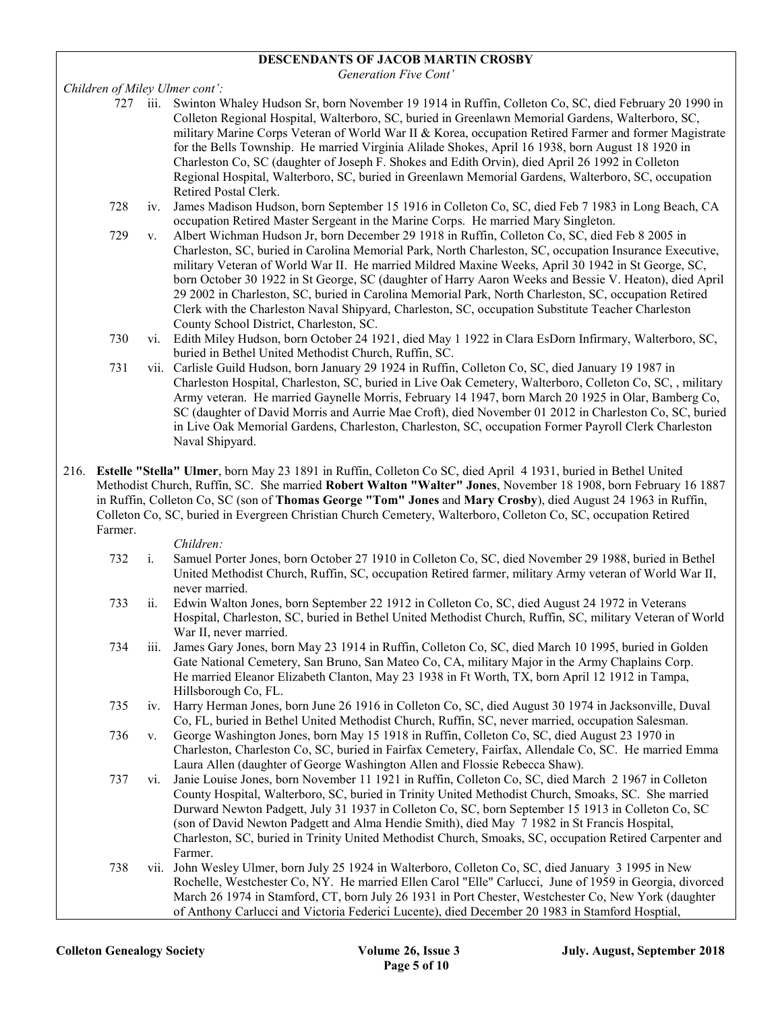### DESCENDANTS OF JACOB MARTIN CROSBY

Generation Five Cont'

Children of Miley Ulmer cont':

- 727 iii. Swinton Whaley Hudson Sr, born November 19 1914 in Ruffin, Colleton Co, SC, died February 20 1990 in Colleton Regional Hospital, Walterboro, SC, buried in Greenlawn Memorial Gardens, Walterboro, SC, military Marine Corps Veteran of World War II & Korea, occupation Retired Farmer and former Magistrate for the Bells Township. He married Virginia Alilade Shokes, April 16 1938, born August 18 1920 in Charleston Co, SC (daughter of Joseph F. Shokes and Edith Orvin), died April 26 1992 in Colleton Regional Hospital, Walterboro, SC, buried in Greenlawn Memorial Gardens, Walterboro, SC, occupation Retired Postal Clerk.
- 728 iv. James Madison Hudson, born September 15 1916 in Colleton Co, SC, died Feb 7 1983 in Long Beach, CA occupation Retired Master Sergeant in the Marine Corps. He married Mary Singleton.
- 729 v. Albert Wichman Hudson Jr, born December 29 1918 in Ruffin, Colleton Co, SC, died Feb 8 2005 in Charleston, SC, buried in Carolina Memorial Park, North Charleston, SC, occupation Insurance Executive, military Veteran of World War II. He married Mildred Maxine Weeks, April 30 1942 in St George, SC, born October 30 1922 in St George, SC (daughter of Harry Aaron Weeks and Bessie V. Heaton), died April 29 2002 in Charleston, SC, buried in Carolina Memorial Park, North Charleston, SC, occupation Retired Clerk with the Charleston Naval Shipyard, Charleston, SC, occupation Substitute Teacher Charleston County School District, Charleston, SC.
- 730 vi. Edith Miley Hudson, born October 24 1921, died May 1 1922 in Clara EsDorn Infirmary, Walterboro, SC, buried in Bethel United Methodist Church, Ruffin, SC.
- 731 vii. Carlisle Guild Hudson, born January 29 1924 in Ruffin, Colleton Co, SC, died January 19 1987 in Charleston Hospital, Charleston, SC, buried in Live Oak Cemetery, Walterboro, Colleton Co, SC, , military Army veteran. He married Gaynelle Morris, February 14 1947, born March 20 1925 in Olar, Bamberg Co, SC (daughter of David Morris and Aurrie Mae Croft), died November 01 2012 in Charleston Co, SC, buried in Live Oak Memorial Gardens, Charleston, Charleston, SC, occupation Former Payroll Clerk Charleston Naval Shipyard.
- 216. Estelle "Stella" Ulmer, born May 23 1891 in Ruffin, Colleton Co SC, died April 4 1931, buried in Bethel United Methodist Church, Ruffin, SC. She married Robert Walton "Walter" Jones, November 18 1908, born February 16 1887 in Ruffin, Colleton Co, SC (son of Thomas George "Tom" Jones and Mary Crosby), died August 24 1963 in Ruffin, Colleton Co, SC, buried in Evergreen Christian Church Cemetery, Walterboro, Colleton Co, SC, occupation Retired Farmer.

- 732 i. Samuel Porter Jones, born October 27 1910 in Colleton Co, SC, died November 29 1988, buried in Bethel United Methodist Church, Ruffin, SC, occupation Retired farmer, military Army veteran of World War II, never married.
- 733 ii. Edwin Walton Jones, born September 22 1912 in Colleton Co, SC, died August 24 1972 in Veterans Hospital, Charleston, SC, buried in Bethel United Methodist Church, Ruffin, SC, military Veteran of World War II, never married.
- 734 iii. James Gary Jones, born May 23 1914 in Ruffin, Colleton Co, SC, died March 10 1995, buried in Golden Gate National Cemetery, San Bruno, San Mateo Co, CA, military Major in the Army Chaplains Corp. He married Eleanor Elizabeth Clanton, May 23 1938 in Ft Worth, TX, born April 12 1912 in Tampa, Hillsborough Co, FL.
- 735 iv. Harry Herman Jones, born June 26 1916 in Colleton Co, SC, died August 30 1974 in Jacksonville, Duval Co, FL, buried in Bethel United Methodist Church, Ruffin, SC, never married, occupation Salesman.
- 736 v. George Washington Jones, born May 15 1918 in Ruffin, Colleton Co, SC, died August 23 1970 in Charleston, Charleston Co, SC, buried in Fairfax Cemetery, Fairfax, Allendale Co, SC. He married Emma Laura Allen (daughter of George Washington Allen and Flossie Rebecca Shaw).
- 737 vi. Janie Louise Jones, born November 11 1921 in Ruffin, Colleton Co, SC, died March 2 1967 in Colleton County Hospital, Walterboro, SC, buried in Trinity United Methodist Church, Smoaks, SC. She married Durward Newton Padgett, July 31 1937 in Colleton Co, SC, born September 15 1913 in Colleton Co, SC (son of David Newton Padgett and Alma Hendie Smith), died May 7 1982 in St Francis Hospital, Charleston, SC, buried in Trinity United Methodist Church, Smoaks, SC, occupation Retired Carpenter and Farmer.
- 738 vii. John Wesley Ulmer, born July 25 1924 in Walterboro, Colleton Co, SC, died January 3 1995 in New Rochelle, Westchester Co, NY. He married Ellen Carol "Elle" Carlucci, June of 1959 in Georgia, divorced March 26 1974 in Stamford, CT, born July 26 1931 in Port Chester, Westchester Co, New York (daughter of Anthony Carlucci and Victoria Federici Lucente), died December 20 1983 in Stamford Hosptial,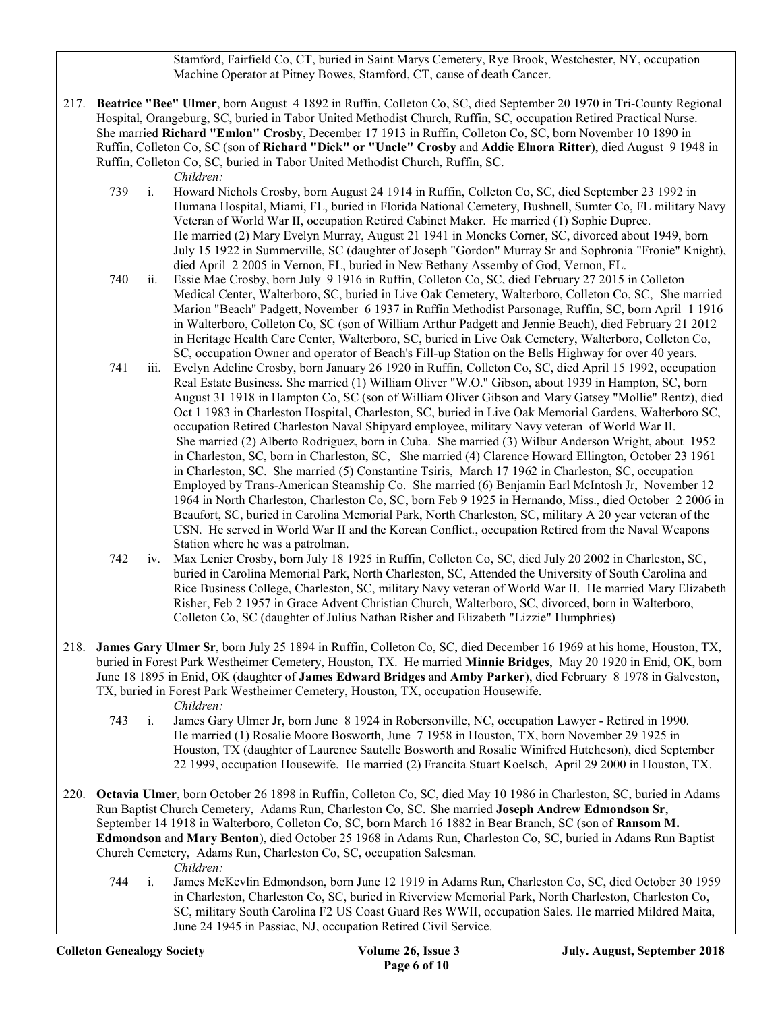Stamford, Fairfield Co, CT, buried in Saint Marys Cemetery, Rye Brook, Westchester, NY, occupation Machine Operator at Pitney Bowes, Stamford, CT, cause of death Cancer.

217. Beatrice "Bee" Ulmer, born August 4 1892 in Ruffin, Colleton Co, SC, died September 20 1970 in Tri-County Regional Hospital, Orangeburg, SC, buried in Tabor United Methodist Church, Ruffin, SC, occupation Retired Practical Nurse. She married Richard "Emlon" Crosby, December 17 1913 in Ruffin, Colleton Co, SC, born November 10 1890 in Ruffin, Colleton Co, SC (son of Richard "Dick" or "Uncle" Crosby and Addie Elnora Ritter), died August 9 1948 in Ruffin, Colleton Co, SC, buried in Tabor United Methodist Church, Ruffin, SC.

- 739 i. Howard Nichols Crosby, born August 24 1914 in Ruffin, Colleton Co, SC, died September 23 1992 in Humana Hospital, Miami, FL, buried in Florida National Cemetery, Bushnell, Sumter Co, FL military Navy Veteran of World War II, occupation Retired Cabinet Maker. He married (1) Sophie Dupree. He married (2) Mary Evelyn Murray, August 21 1941 in Moncks Corner, SC, divorced about 1949, born July 15 1922 in Summerville, SC (daughter of Joseph "Gordon" Murray Sr and Sophronia "Fronie" Knight), died April 2 2005 in Vernon, FL, buried in New Bethany Assemby of God, Vernon, FL.
- 740 ii. Essie Mae Crosby, born July 9 1916 in Ruffin, Colleton Co, SC, died February 27 2015 in Colleton Medical Center, Walterboro, SC, buried in Live Oak Cemetery, Walterboro, Colleton Co, SC, She married Marion "Beach" Padgett, November 6 1937 in Ruffin Methodist Parsonage, Ruffin, SC, born April 1 1916 in Walterboro, Colleton Co, SC (son of William Arthur Padgett and Jennie Beach), died February 21 2012 in Heritage Health Care Center, Walterboro, SC, buried in Live Oak Cemetery, Walterboro, Colleton Co, SC, occupation Owner and operator of Beach's Fill-up Station on the Bells Highway for over 40 years.
- 741 iii. Evelyn Adeline Crosby, born January 26 1920 in Ruffin, Colleton Co, SC, died April 15 1992, occupation Real Estate Business. She married (1) William Oliver "W.O." Gibson, about 1939 in Hampton, SC, born August 31 1918 in Hampton Co, SC (son of William Oliver Gibson and Mary Gatsey "Mollie" Rentz), died Oct 1 1983 in Charleston Hospital, Charleston, SC, buried in Live Oak Memorial Gardens, Walterboro SC, occupation Retired Charleston Naval Shipyard employee, military Navy veteran of World War II. She married (2) Alberto Rodriguez, born in Cuba. She married (3) Wilbur Anderson Wright, about 1952 in Charleston, SC, born in Charleston, SC, She married (4) Clarence Howard Ellington, October 23 1961 in Charleston, SC. She married (5) Constantine Tsiris, March 17 1962 in Charleston, SC, occupation Employed by Trans-American Steamship Co. She married (6) Benjamin Earl McIntosh Jr, November 12 1964 in North Charleston, Charleston Co, SC, born Feb 9 1925 in Hernando, Miss., died October 2 2006 in Beaufort, SC, buried in Carolina Memorial Park, North Charleston, SC, military A 20 year veteran of the USN. He served in World War II and the Korean Conflict., occupation Retired from the Naval Weapons Station where he was a patrolman.
- 742 iv. Max Lenier Crosby, born July 18 1925 in Ruffin, Colleton Co, SC, died July 20 2002 in Charleston, SC, buried in Carolina Memorial Park, North Charleston, SC, Attended the University of South Carolina and Rice Business College, Charleston, SC, military Navy veteran of World War II. He married Mary Elizabeth Risher, Feb 2 1957 in Grace Advent Christian Church, Walterboro, SC, divorced, born in Walterboro, Colleton Co, SC (daughter of Julius Nathan Risher and Elizabeth "Lizzie" Humphries)
- 218. James Gary Ulmer Sr, born July 25 1894 in Ruffin, Colleton Co, SC, died December 16 1969 at his home, Houston, TX, buried in Forest Park Westheimer Cemetery, Houston, TX. He married Minnie Bridges, May 20 1920 in Enid, OK, born June 18 1895 in Enid, OK (daughter of James Edward Bridges and Amby Parker), died February 8 1978 in Galveston, TX, buried in Forest Park Westheimer Cemetery, Houston, TX, occupation Housewife. Children:
	- 743 i. James Gary Ulmer Jr, born June 8 1924 in Robersonville, NC, occupation Lawyer Retired in 1990. He married (1) Rosalie Moore Bosworth, June 7 1958 in Houston, TX, born November 29 1925 in Houston, TX (daughter of Laurence Sautelle Bosworth and Rosalie Winifred Hutcheson), died September 22 1999, occupation Housewife. He married (2) Francita Stuart Koelsch, April 29 2000 in Houston, TX.
- 220. Octavia Ulmer, born October 26 1898 in Ruffin, Colleton Co, SC, died May 10 1986 in Charleston, SC, buried in Adams Run Baptist Church Cemetery, Adams Run, Charleston Co, SC. She married Joseph Andrew Edmondson Sr, September 14 1918 in Walterboro, Colleton Co, SC, born March 16 1882 in Bear Branch, SC (son of Ransom M. Edmondson and Mary Benton), died October 25 1968 in Adams Run, Charleston Co, SC, buried in Adams Run Baptist Church Cemetery, Adams Run, Charleston Co, SC, occupation Salesman.
	- Children:
	- 744 i. James McKevlin Edmondson, born June 12 1919 in Adams Run, Charleston Co, SC, died October 30 1959 in Charleston, Charleston Co, SC, buried in Riverview Memorial Park, North Charleston, Charleston Co, SC, military South Carolina F2 US Coast Guard Res WWII, occupation Sales. He married Mildred Maita, June 24 1945 in Passiac, NJ, occupation Retired Civil Service.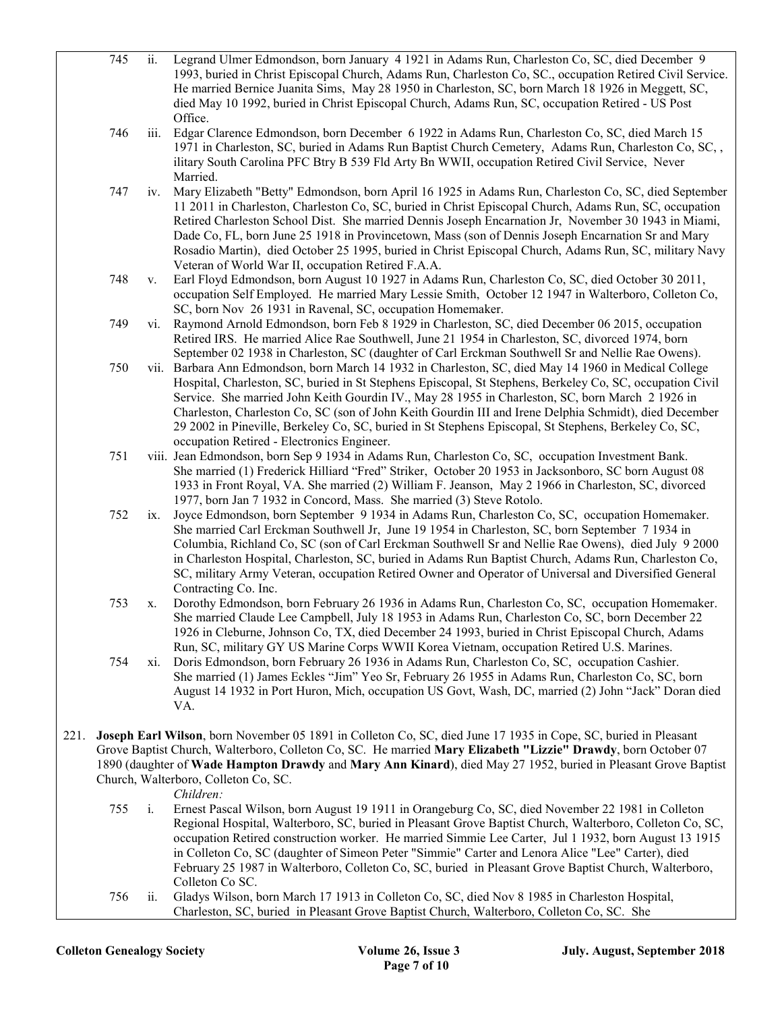|      | 745 | ii.            | Legrand Ulmer Edmondson, born January 4 1921 in Adams Run, Charleston Co, SC, died December 9<br>1993, buried in Christ Episcopal Church, Adams Run, Charleston Co, SC., occupation Retired Civil Service.                       |
|------|-----|----------------|----------------------------------------------------------------------------------------------------------------------------------------------------------------------------------------------------------------------------------|
|      |     |                | He married Bernice Juanita Sims, May 28 1950 in Charleston, SC, born March 18 1926 in Meggett, SC,                                                                                                                               |
|      |     |                | died May 10 1992, buried in Christ Episcopal Church, Adams Run, SC, occupation Retired - US Post                                                                                                                                 |
|      |     |                | Office.                                                                                                                                                                                                                          |
|      | 746 | iii.           | Edgar Clarence Edmondson, born December 6 1922 in Adams Run, Charleston Co, SC, died March 15<br>1971 in Charleston, SC, buried in Adams Run Baptist Church Cemetery, Adams Run, Charleston Co, SC,,                             |
|      |     |                | ilitary South Carolina PFC Btry B 539 Fld Arty Bn WWII, occupation Retired Civil Service, Never                                                                                                                                  |
|      |     |                | Married.                                                                                                                                                                                                                         |
|      | 747 | iv.            | Mary Elizabeth "Betty" Edmondson, born April 16 1925 in Adams Run, Charleston Co, SC, died September                                                                                                                             |
|      |     |                | 11 2011 in Charleston, Charleston Co, SC, buried in Christ Episcopal Church, Adams Run, SC, occupation                                                                                                                           |
|      |     |                | Retired Charleston School Dist. She married Dennis Joseph Encarnation Jr, November 30 1943 in Miami,                                                                                                                             |
|      |     |                | Dade Co, FL, born June 25 1918 in Provincetown, Mass (son of Dennis Joseph Encarnation Sr and Mary                                                                                                                               |
|      |     |                | Rosadio Martin), died October 25 1995, buried in Christ Episcopal Church, Adams Run, SC, military Navy                                                                                                                           |
|      | 748 |                | Veteran of World War II, occupation Retired F.A.A.<br>Earl Floyd Edmondson, born August 10 1927 in Adams Run, Charleston Co, SC, died October 30 2011,                                                                           |
|      |     | V.             | occupation Self Employed. He married Mary Lessie Smith, October 12 1947 in Walterboro, Colleton Co,                                                                                                                              |
|      |     |                | SC, born Nov 26 1931 in Ravenal, SC, occupation Homemaker.                                                                                                                                                                       |
|      | 749 | vi.            | Raymond Arnold Edmondson, born Feb 8 1929 in Charleston, SC, died December 06 2015, occupation                                                                                                                                   |
|      |     |                | Retired IRS. He married Alice Rae Southwell, June 21 1954 in Charleston, SC, divorced 1974, born                                                                                                                                 |
|      |     |                | September 02 1938 in Charleston, SC (daughter of Carl Erckman Southwell Sr and Nellie Rae Owens).                                                                                                                                |
|      | 750 |                | vii. Barbara Ann Edmondson, born March 14 1932 in Charleston, SC, died May 14 1960 in Medical College                                                                                                                            |
|      |     |                | Hospital, Charleston, SC, buried in St Stephens Episcopal, St Stephens, Berkeley Co, SC, occupation Civil                                                                                                                        |
|      |     |                | Service. She married John Keith Gourdin IV., May 28 1955 in Charleston, SC, born March 2 1926 in<br>Charleston, Charleston Co, SC (son of John Keith Gourdin III and Irene Delphia Schmidt), died December                       |
|      |     |                | 29 2002 in Pineville, Berkeley Co, SC, buried in St Stephens Episcopal, St Stephens, Berkeley Co, SC,                                                                                                                            |
|      |     |                | occupation Retired - Electronics Engineer.                                                                                                                                                                                       |
|      | 751 |                | viii. Jean Edmondson, born Sep 9 1934 in Adams Run, Charleston Co, SC, occupation Investment Bank.                                                                                                                               |
|      |     |                | She married (1) Frederick Hilliard "Fred" Striker, October 20 1953 in Jacksonboro, SC born August 08                                                                                                                             |
|      |     |                | 1933 in Front Royal, VA. She married (2) William F. Jeanson, May 2 1966 in Charleston, SC, divorced                                                                                                                              |
|      |     |                | 1977, born Jan 7 1932 in Concord, Mass. She married (3) Steve Rotolo.                                                                                                                                                            |
|      | 752 | ix.            | Joyce Edmondson, born September 9 1934 in Adams Run, Charleston Co, SC, occupation Homemaker.<br>She married Carl Erckman Southwell Jr, June 19 1954 in Charleston, SC, born September 7 1934 in                                 |
|      |     |                | Columbia, Richland Co, SC (son of Carl Erckman Southwell Sr and Nellie Rae Owens), died July 9 2000                                                                                                                              |
|      |     |                | in Charleston Hospital, Charleston, SC, buried in Adams Run Baptist Church, Adams Run, Charleston Co,                                                                                                                            |
|      |     |                | SC, military Army Veteran, occupation Retired Owner and Operator of Universal and Diversified General                                                                                                                            |
|      |     |                | Contracting Co. Inc.                                                                                                                                                                                                             |
|      | 753 | X.             | Dorothy Edmondson, born February 26 1936 in Adams Run, Charleston Co, SC, occupation Homemaker.                                                                                                                                  |
|      |     |                | She married Claude Lee Campbell, July 18 1953 in Adams Run, Charleston Co, SC, born December 22                                                                                                                                  |
|      |     |                | 1926 in Cleburne, Johnson Co, TX, died December 24 1993, buried in Christ Episcopal Church, Adams                                                                                                                                |
|      | 754 | Xi.            | Run, SC, military GY US Marine Corps WWII Korea Vietnam, occupation Retired U.S. Marines.<br>Doris Edmondson, born February 26 1936 in Adams Run, Charleston Co, SC, occupation Cashier.                                         |
|      |     |                | She married (1) James Eckles "Jim" Yeo Sr, February 26 1955 in Adams Run, Charleston Co, SC, born                                                                                                                                |
|      |     |                | August 14 1932 in Port Huron, Mich, occupation US Govt, Wash, DC, married (2) John "Jack" Doran died                                                                                                                             |
|      |     |                | VA.                                                                                                                                                                                                                              |
|      |     |                |                                                                                                                                                                                                                                  |
| 221. |     |                | Joseph Earl Wilson, born November 05 1891 in Colleton Co, SC, died June 17 1935 in Cope, SC, buried in Pleasant<br>Grove Baptist Church, Walterboro, Colleton Co, SC. He married Mary Elizabeth "Lizzie" Drawdy, born October 07 |
|      |     |                | 1890 (daughter of Wade Hampton Drawdy and Mary Ann Kinard), died May 27 1952, buried in Pleasant Grove Baptist                                                                                                                   |
|      |     |                | Church, Walterboro, Colleton Co, SC.                                                                                                                                                                                             |
|      |     |                | Children:                                                                                                                                                                                                                        |
|      | 755 | $\mathbf{i}$ . | Ernest Pascal Wilson, born August 19 1911 in Orangeburg Co, SC, died November 22 1981 in Colleton                                                                                                                                |
|      |     |                | Regional Hospital, Walterboro, SC, buried in Pleasant Grove Baptist Church, Walterboro, Colleton Co, SC,                                                                                                                         |
|      |     |                | occupation Retired construction worker. He married Simmie Lee Carter, Jul 1 1932, born August 13 1915                                                                                                                            |
|      |     |                | in Colleton Co, SC (daughter of Simeon Peter "Simmie" Carter and Lenora Alice "Lee" Carter), died                                                                                                                                |
|      |     |                | February 25 1987 in Walterboro, Colleton Co, SC, buried in Pleasant Grove Baptist Church, Walterboro,<br>Colleton Co SC.                                                                                                         |
|      | 756 | ii.            | Gladys Wilson, born March 17 1913 in Colleton Co, SC, died Nov 8 1985 in Charleston Hospital,                                                                                                                                    |

Charleston, SC, buried in Pleasant Grove Baptist Church, Walterboro, Colleton Co, SC. She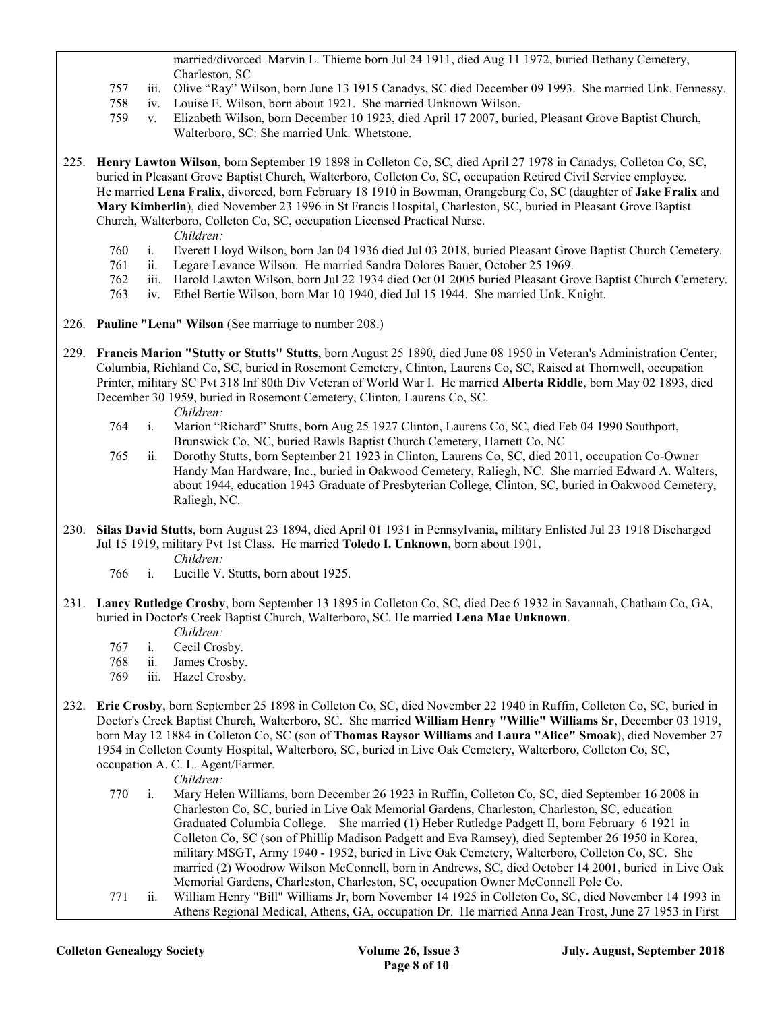married/divorced Marvin L. Thieme born Jul 24 1911, died Aug 11 1972, buried Bethany Cemetery, Charleston, SC

- 757 iii. Olive "Ray" Wilson, born June 13 1915 Canadys, SC died December 09 1993. She married Unk. Fennessy.
- 758 iv. Louise E. Wilson, born about 1921. She married Unknown Wilson.
- 759 v. Elizabeth Wilson, born December 10 1923, died April 17 2007, buried, Pleasant Grove Baptist Church, Walterboro, SC: She married Unk. Whetstone.
- 225. Henry Lawton Wilson, born September 19 1898 in Colleton Co, SC, died April 27 1978 in Canadys, Colleton Co, SC, buried in Pleasant Grove Baptist Church, Walterboro, Colleton Co, SC, occupation Retired Civil Service employee. He married Lena Fralix, divorced, born February 18 1910 in Bowman, Orangeburg Co, SC (daughter of Jake Fralix and Mary Kimberlin), died November 23 1996 in St Francis Hospital, Charleston, SC, buried in Pleasant Grove Baptist Church, Walterboro, Colleton Co, SC, occupation Licensed Practical Nurse.

Children:

- 760 i. Everett Lloyd Wilson, born Jan 04 1936 died Jul 03 2018, buried Pleasant Grove Baptist Church Cemetery.
- 761 ii. Legare Levance Wilson. He married Sandra Dolores Bauer, October 25 1969.
- 762 iii. Harold Lawton Wilson, born Jul 22 1934 died Oct 01 2005 buried Pleasant Grove Baptist Church Cemetery.
- 763 iv. Ethel Bertie Wilson, born Mar 10 1940, died Jul 15 1944. She married Unk. Knight.
- 226. Pauline "Lena" Wilson (See marriage to number 208.)
- 229. Francis Marion "Stutty or Stutts" Stutts, born August 25 1890, died June 08 1950 in Veteran's Administration Center, Columbia, Richland Co, SC, buried in Rosemont Cemetery, Clinton, Laurens Co, SC, Raised at Thornwell, occupation Printer, military SC Pvt 318 Inf 80th Div Veteran of World War I. He married Alberta Riddle, born May 02 1893, died December 30 1959, buried in Rosemont Cemetery, Clinton, Laurens Co, SC. Children:
	- 764 i. Marion "Richard" Stutts, born Aug 25 1927 Clinton, Laurens Co, SC, died Feb 04 1990 Southport, Brunswick Co, NC, buried Rawls Baptist Church Cemetery, Harnett Co, NC
	- 765 ii. Dorothy Stutts, born September 21 1923 in Clinton, Laurens Co, SC, died 2011, occupation Co-Owner Handy Man Hardware, Inc., buried in Oakwood Cemetery, Raliegh, NC. She married Edward A. Walters, about 1944, education 1943 Graduate of Presbyterian College, Clinton, SC, buried in Oakwood Cemetery, Raliegh, NC.
- 230. Silas David Stutts, born August 23 1894, died April 01 1931 in Pennsylvania, military Enlisted Jul 23 1918 Discharged Jul 15 1919, military Pvt 1st Class. He married Toledo I. Unknown, born about 1901.
	- Children:
	- 766 i. Lucille V. Stutts, born about 1925.
- 231. Lancy Rutledge Crosby, born September 13 1895 in Colleton Co, SC, died Dec 6 1932 in Savannah, Chatham Co, GA, buried in Doctor's Creek Baptist Church, Walterboro, SC. He married Lena Mae Unknown. Children:
	- 767 i. Cecil Crosby.
	- 768 ii. James Crosby.
	- 769 iii. Hazel Crosby.
- 232. Erie Crosby, born September 25 1898 in Colleton Co, SC, died November 22 1940 in Ruffin, Colleton Co, SC, buried in Doctor's Creek Baptist Church, Walterboro, SC. She married William Henry "Willie" Williams Sr, December 03 1919, born May 12 1884 in Colleton Co, SC (son of Thomas Raysor Williams and Laura "Alice" Smoak), died November 27 1954 in Colleton County Hospital, Walterboro, SC, buried in Live Oak Cemetery, Walterboro, Colleton Co, SC, occupation A. C. L. Agent/Farmer.

- 770 i. Mary Helen Williams, born December 26 1923 in Ruffin, Colleton Co, SC, died September 16 2008 in Charleston Co, SC, buried in Live Oak Memorial Gardens, Charleston, Charleston, SC, education Graduated Columbia College. She married (1) Heber Rutledge Padgett II, born February 6 1921 in Colleton Co, SC (son of Phillip Madison Padgett and Eva Ramsey), died September 26 1950 in Korea, military MSGT, Army 1940 - 1952, buried in Live Oak Cemetery, Walterboro, Colleton Co, SC. She married (2) Woodrow Wilson McConnell, born in Andrews, SC, died October 14 2001, buried in Live Oak Memorial Gardens, Charleston, Charleston, SC, occupation Owner McConnell Pole Co.
- 771 ii. William Henry "Bill" Williams Jr, born November 14 1925 in Colleton Co, SC, died November 14 1993 in Athens Regional Medical, Athens, GA, occupation Dr. He married Anna Jean Trost, June 27 1953 in First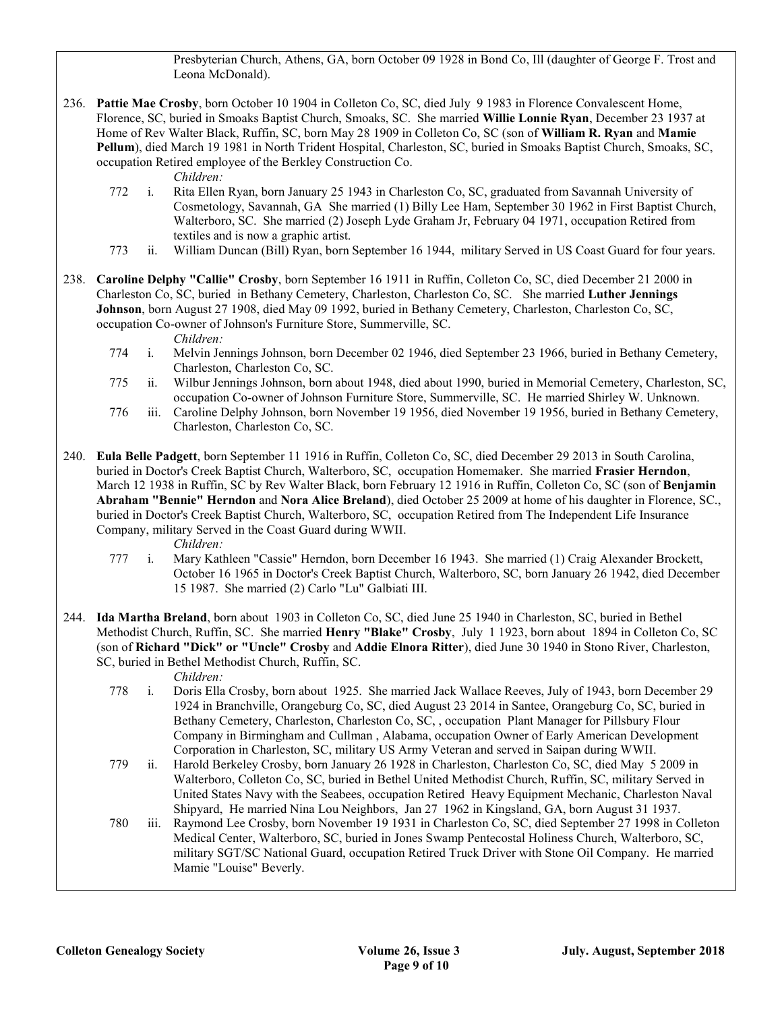Presbyterian Church, Athens, GA, born October 09 1928 in Bond Co, Ill (daughter of George F. Trost and Leona McDonald).

236. Pattie Mae Crosby, born October 10 1904 in Colleton Co, SC, died July 9 1983 in Florence Convalescent Home, Florence, SC, buried in Smoaks Baptist Church, Smoaks, SC. She married Willie Lonnie Ryan, December 23 1937 at Home of Rev Walter Black, Ruffin, SC, born May 28 1909 in Colleton Co, SC (son of William R. Ryan and Mamie Pellum), died March 19 1981 in North Trident Hospital, Charleston, SC, buried in Smoaks Baptist Church, Smoaks, SC, occupation Retired employee of the Berkley Construction Co.

Children:

- 772 i. Rita Ellen Ryan, born January 25 1943 in Charleston Co, SC, graduated from Savannah University of Cosmetology, Savannah, GA She married (1) Billy Lee Ham, September 30 1962 in First Baptist Church, Walterboro, SC. She married (2) Joseph Lyde Graham Jr, February 04 1971, occupation Retired from textiles and is now a graphic artist.
- 773 ii. William Duncan (Bill) Ryan, born September 16 1944, military Served in US Coast Guard for four years.
- 238. Caroline Delphy "Callie" Crosby, born September 16 1911 in Ruffin, Colleton Co, SC, died December 21 2000 in Charleston Co, SC, buried in Bethany Cemetery, Charleston, Charleston Co, SC. She married Luther Jennings Johnson, born August 27 1908, died May 09 1992, buried in Bethany Cemetery, Charleston, Charleston Co, SC, occupation Co-owner of Johnson's Furniture Store, Summerville, SC.

Children:

- 774 i. Melvin Jennings Johnson, born December 02 1946, died September 23 1966, buried in Bethany Cemetery, Charleston, Charleston Co, SC.
- 775 ii. Wilbur Jennings Johnson, born about 1948, died about 1990, buried in Memorial Cemetery, Charleston, SC, occupation Co-owner of Johnson Furniture Store, Summerville, SC. He married Shirley W. Unknown.
- 776 iii. Caroline Delphy Johnson, born November 19 1956, died November 19 1956, buried in Bethany Cemetery, Charleston, Charleston Co, SC.
- 240. Eula Belle Padgett, born September 11 1916 in Ruffin, Colleton Co, SC, died December 29 2013 in South Carolina, buried in Doctor's Creek Baptist Church, Walterboro, SC, occupation Homemaker. She married Frasier Herndon, March 12 1938 in Ruffin, SC by Rev Walter Black, born February 12 1916 in Ruffin, Colleton Co, SC (son of Benjamin Abraham "Bennie" Herndon and Nora Alice Breland), died October 25 2009 at home of his daughter in Florence, SC., buried in Doctor's Creek Baptist Church, Walterboro, SC, occupation Retired from The Independent Life Insurance Company, military Served in the Coast Guard during WWII.

Children:

- 777 i. Mary Kathleen "Cassie" Herndon, born December 16 1943. She married (1) Craig Alexander Brockett, October 16 1965 in Doctor's Creek Baptist Church, Walterboro, SC, born January 26 1942, died December 15 1987. She married (2) Carlo "Lu" Galbiati III.
- 244. Ida Martha Breland, born about 1903 in Colleton Co, SC, died June 25 1940 in Charleston, SC, buried in Bethel Methodist Church, Ruffin, SC. She married Henry "Blake" Crosby, July 1 1923, born about 1894 in Colleton Co, SC (son of Richard "Dick" or "Uncle" Crosby and Addie Elnora Ritter), died June 30 1940 in Stono River, Charleston, SC, buried in Bethel Methodist Church, Ruffin, SC.

- 778 i. Doris Ella Crosby, born about 1925. She married Jack Wallace Reeves, July of 1943, born December 29 1924 in Branchville, Orangeburg Co, SC, died August 23 2014 in Santee, Orangeburg Co, SC, buried in Bethany Cemetery, Charleston, Charleston Co, SC, , occupation Plant Manager for Pillsbury Flour Company in Birmingham and Cullman , Alabama, occupation Owner of Early American Development Corporation in Charleston, SC, military US Army Veteran and served in Saipan during WWII.
- 779 ii. Harold Berkeley Crosby, born January 26 1928 in Charleston, Charleston Co, SC, died May 5 2009 in Walterboro, Colleton Co, SC, buried in Bethel United Methodist Church, Ruffin, SC, military Served in United States Navy with the Seabees, occupation Retired Heavy Equipment Mechanic, Charleston Naval Shipyard, He married Nina Lou Neighbors, Jan 27 1962 in Kingsland, GA, born August 31 1937.
- 780 iii. Raymond Lee Crosby, born November 19 1931 in Charleston Co, SC, died September 27 1998 in Colleton Medical Center, Walterboro, SC, buried in Jones Swamp Pentecostal Holiness Church, Walterboro, SC, military SGT/SC National Guard, occupation Retired Truck Driver with Stone Oil Company. He married Mamie "Louise" Beverly.